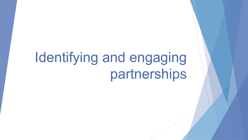# Identifying and engaging partnerships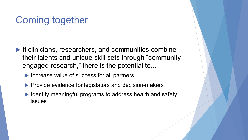## Coming together

- $\blacktriangleright$  If clinicians, researchers, and communities combine their talents and unique skill sets through "communityengaged research," there is the potential to...
	- $\blacktriangleright$  Increase value of success for all partners
	- $\blacktriangleright$  Provide evidence for legislators and decision-makers
	- $\blacktriangleright$  Identify meaningful programs to address health and safety issues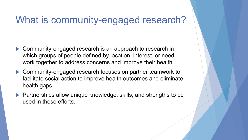#### What is community-engaged research?

- $\blacktriangleright$  Community-engaged research is an approach to research in which groups of people defined by location, interest, or need, work together to address concerns and improve their health.
- $\blacktriangleright$  Community-engaged research focuses on partner teamwork to facilitate social action to improve health outcomes and eliminate health gaps.
- $\blacktriangleright$  Partnerships allow unique knowledge, skills, and strengths to be used in these efforts.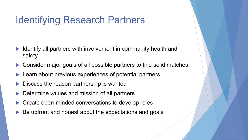## Identifying Research Partners

- Identify all partners with involvement in community health and safety
- Consider major goals of all possible partners to find solid matches
- Learn about previous experiences of potential partners
- Discuss the reason partnership is wanted
- Determine values and mission of all partners
- Create open-minded conversations to develop roles
- Be upfront and honest about the expectations and goals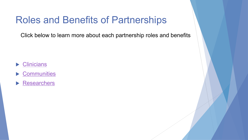#### Roles and Benefits of Partnerships

Click below to learn more about each partnership roles and benefits

- $\blacktriangleright$  Clinicians
- $\blacktriangleright$  Communities
- $\blacktriangleright$  Researchers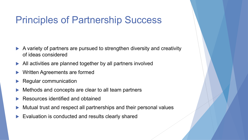#### Principles of Partnership Success

- $\blacktriangleright$  A variety of partners are pursued to strengthen diversity and creativity of ideas considered
- $\blacktriangleright$  All activities are planned together by all partners involved
- Written Agreements are formed
- **Regular communication**
- Methods and concepts are clear to all team partners
- Resources identified and obtained
- Mutual trust and respect all partnerships and their personal values
- Evaluation is conducted and results clearly shared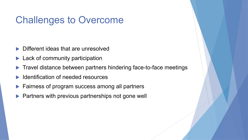### Challenges to Overcome

- Different ideas that are unresolved
- Lack of community participation
- Travel distance between partners hindering face-to-face meetings
- Identification of needed resources
- Fairness of program success among all partners
- Partners with previous partnerships not gone well